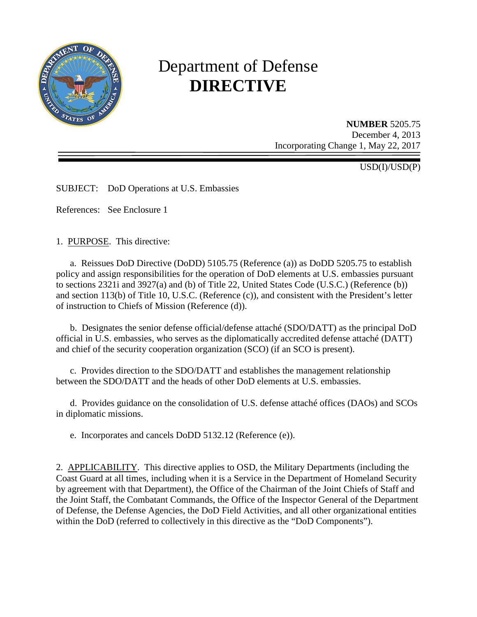

# Department of Defense **DIRECTIVE**

**NUMBER** 5205.75 December 4, 2013 Incorporating Change 1, May 22, 2017

USD(I)/USD(P)

SUBJECT: DoD Operations at U.S. Embassies

References: See Enclosure 1

1. PURPOSE. This directive:

a. Reissues DoD Directive (DoDD) 5105.75 (Reference (a)) as DoDD 5205.75 to establish policy and assign responsibilities for the operation of DoD elements at U.S. embassies pursuant to sections 2321i and 3927(a) and (b) of Title 22, United States Code (U.S.C.) (Reference (b)) and section 113(b) of Title 10, U.S.C. (Reference (c)), and consistent with the President's letter of instruction to Chiefs of Mission (Reference (d)).

 b. Designates the senior defense official/defense attaché (SDO/DATT) as the principal DoD official in U.S. embassies, who serves as the diplomatically accredited defense attaché (DATT) and chief of the security cooperation organization (SCO) (if an SCO is present).

c. Provides direction to the SDO/DATT and establishes the management relationship between the SDO/DATT and the heads of other DoD elements at U.S. embassies.

 d. Provides guidance on the consolidation of U.S. defense attaché offices (DAOs) and SCOs in diplomatic missions.

e. Incorporates and cancels DoDD 5132.12 (Reference (e)).

2. APPLICABILITY. This directive applies to OSD, the Military Departments (including the Coast Guard at all times, including when it is a Service in the Department of Homeland Security by agreement with that Department), the Office of the Chairman of the Joint Chiefs of Staff and the Joint Staff, the Combatant Commands, the Office of the Inspector General of the Department of Defense, the Defense Agencies, the DoD Field Activities, and all other organizational entities within the DoD (referred to collectively in this directive as the "DoD Components").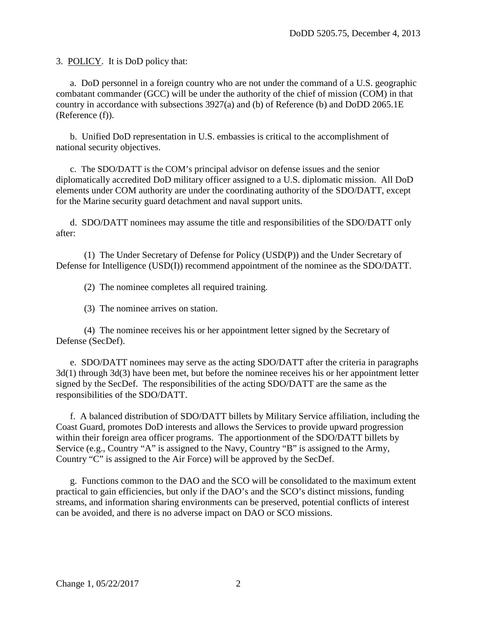3. POLICY. It is DoD policy that:

 a. DoD personnel in a foreign country who are not under the command of a U.S. geographic combatant commander (GCC) will be under the authority of the chief of mission (COM) in that country in accordance with subsections 3927(a) and (b) of Reference (b) and DoDD 2065.1E (Reference (f)).

b. Unified DoD representation in U.S. embassies is critical to the accomplishment of national security objectives.

c. The SDO/DATT is the COM's principal advisor on defense issues and the senior diplomatically accredited DoD military officer assigned to a U.S. diplomatic mission. All DoD elements under COM authority are under the coordinating authority of the SDO/DATT, except for the Marine security guard detachment and naval support units.

d. SDO/DATT nominees may assume the title and responsibilities of the SDO/DATT only after:

(1) The Under Secretary of Defense for Policy (USD(P)) and the Under Secretary of Defense for Intelligence (USD(I)) recommend appointment of the nominee as the SDO/DATT.

(2) The nominee completes all required training.

(3) The nominee arrives on station.

 (4) The nominee receives his or her appointment letter signed by the Secretary of Defense (SecDef).

e. SDO/DATT nominees may serve as the acting SDO/DATT after the criteria in paragraphs 3d(1) through 3d(3) have been met, but before the nominee receives his or her appointment letter signed by the SecDef. The responsibilities of the acting SDO/DATT are the same as the responsibilities of the SDO/DATT.

 f. A balanced distribution of SDO/DATT billets by Military Service affiliation, including the Coast Guard, promotes DoD interests and allows the Services to provide upward progression within their foreign area officer programs. The apportionment of the SDO/DATT billets by Service (e.g., Country "A" is assigned to the Navy, Country "B" is assigned to the Army, Country "C" is assigned to the Air Force) will be approved by the SecDef.

 g. Functions common to the DAO and the SCO will be consolidated to the maximum extent practical to gain efficiencies, but only if the DAO's and the SCO's distinct missions, funding streams, and information sharing environments can be preserved, potential conflicts of interest can be avoided, and there is no adverse impact on DAO or SCO missions.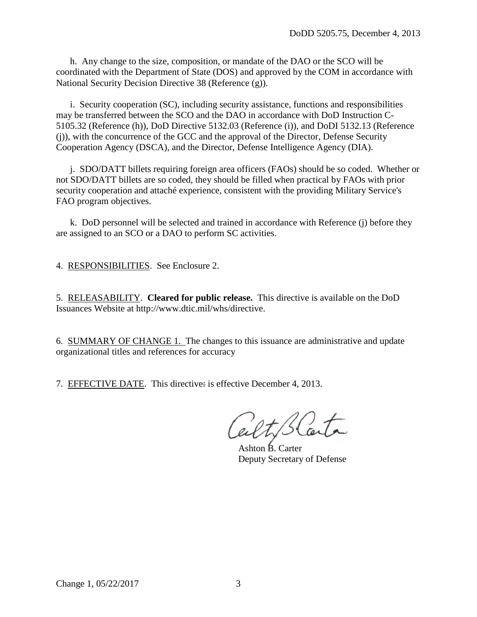h. Any change to the size, composition, or mandate of the DAO or the SCO will be coordinated with the Department of State (DOS) and approved by the COM in accordance with National Security Decision Directive 38 (Reference (g)).

 i. Security cooperation (SC), including security assistance, functions and responsibilities may be transferred between the SCO and the DAO in accordance with DoD Instruction C-5105.32 (Reference (h)), DoD Directive 5132.03 (Reference (i)), and DoDI 5132.13 (Reference (j)), with the concurrence of the GCC and the approval of the Director, Defense Security Cooperation Agency (DSCA), and the Director, Defense Intelligence Agency (DIA).

 j. SDO/DATT billets requiring foreign area officers (FAOs) should be so coded. Whether or not SDO/DATT billets are so coded, they should be filled when practical by FAOs with prior security cooperation and attaché experience, consistent with the providing Military Service's FAO program objectives.

k. DoD personnel will be selected and trained in accordance with Reference (j) before they are assigned to an SCO or a DAO to perform SC activities.

4. RESPONSIBILITIES. See Enclosure 2.

5. RELEASABILITY. **Cleared for public release.** This directive is available on the DoD Issuances Website at http://www.dtic.mil/whs/directive.

6. SUMMARY OF CHANGE 1. The changes to this issuance are administrative and update organizational titles and references for accuracy

7. EFFECTIVE DATE. This directive: is effective December 4, 2013.

Ashton B. Carter Deputy Secretary of Defense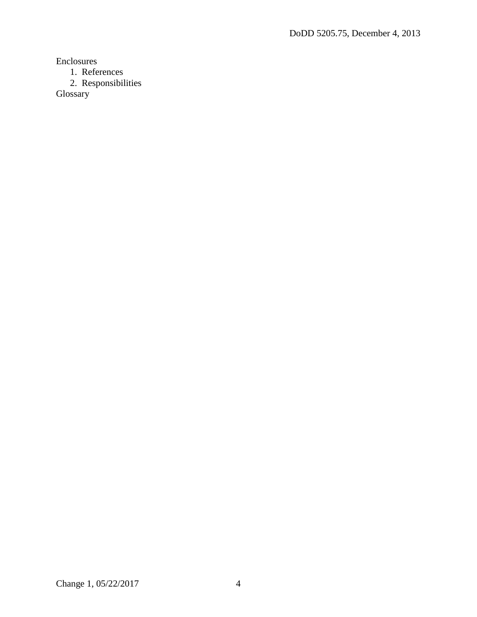Enclosures

1. References

2. Responsibilities

Glossary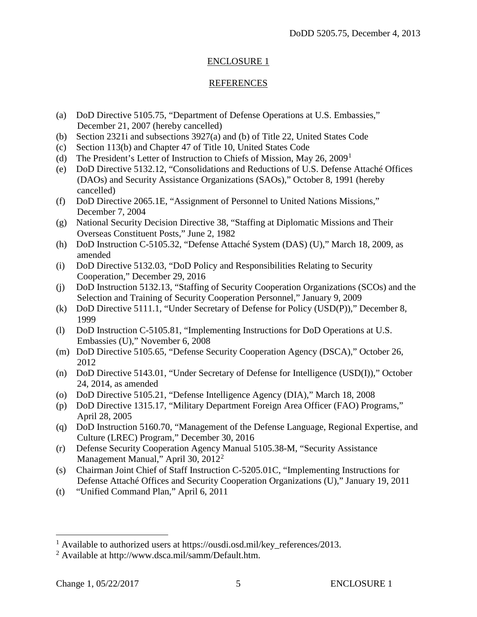## ENCLOSURE 1

#### REFERENCES

- (a) DoD Directive 5105.75, "Department of Defense Operations at U.S. Embassies," December 21, 2007 (hereby cancelled)
- (b) Section 2321i and subsections 3927(a) and (b) of Title 22, United States Code
- (c) Section 113(b) and Chapter 47 of Title 10, United States Code
- (d) The President's Letter of Instruction to Chiefs of Mission, May 26, 2009[1](#page-4-0)
- (e) DoD Directive 5132.12, "Consolidations and Reductions of U.S. Defense Attaché Offices (DAOs) and Security Assistance Organizations (SAOs)," October 8, 1991 (hereby cancelled)
- (f) DoD Directive 2065.1E, "Assignment of Personnel to United Nations Missions," December 7, 2004
- (g) National Security Decision Directive 38, "Staffing at Diplomatic Missions and Their Overseas Constituent Posts," June 2, 1982
- (h) DoD Instruction C-5105.32, "Defense Attaché System (DAS) (U)," March 18, 2009, as amended
- (i) DoD Directive 5132.03, "DoD Policy and Responsibilities Relating to Security Cooperation," December 29, 2016
- (j) DoD Instruction 5132.13, "Staffing of Security Cooperation Organizations (SCOs) and the Selection and Training of Security Cooperation Personnel," January 9, 2009
- (k) DoD Directive 5111.1, "Under Secretary of Defense for Policy (USD(P))," December 8, 1999
- (l) DoD Instruction C-5105.81, "Implementing Instructions for DoD Operations at U.S. Embassies (U)," November 6, 2008
- (m) DoD Directive 5105.65, "Defense Security Cooperation Agency (DSCA)," October 26, 2012
- (n) DoD Directive 5143.01, "Under Secretary of Defense for Intelligence (USD(I))," October 24, 2014, as amended
- (o) DoD Directive 5105.21, "Defense Intelligence Agency (DIA)," March 18, 2008
- (p) DoD Directive 1315.17, "Military Department Foreign Area Officer (FAO) Programs," April 28, 2005
- (q) DoD Instruction 5160.70, "Management of the Defense Language, Regional Expertise, and Culture (LREC) Program," December 30, 2016
- (r) Defense Security Cooperation Agency Manual 5105.38-M, "Security Assistance Management Manual," April 30, [2](#page-4-1)012<sup>2</sup>
- (s) Chairman Joint Chief of Staff Instruction C-5205.01C, "Implementing Instructions for Defense Attaché Offices and Security Cooperation Organizations (U)," January 19, 2011
- (t) "Unified Command Plan," April 6, 2011

 $\overline{a}$ 

<span id="page-4-0"></span><sup>&</sup>lt;sup>1</sup> Available to authorized users at https://ousdi.osd.mil/key\_references/2013.

<span id="page-4-1"></span><sup>2</sup> Available at http://www.dsca.mil/samm/Default.htm.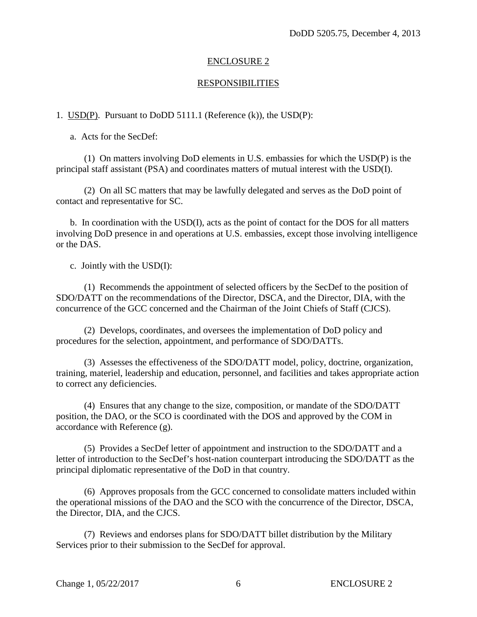## ENCLOSURE 2

#### RESPONSIBILITIES

#### 1. USD(P). Pursuant to DoDD 5111.1 (Reference (k)), the USD(P):

a. Acts for the SecDef:

(1) On matters involving DoD elements in U.S. embassies for which the USD(P) is the principal staff assistant (PSA) and coordinates matters of mutual interest with the USD(I).

(2) On all SC matters that may be lawfully delegated and serves as the DoD point of contact and representative for SC.

 b. In coordination with the USD(I), acts as the point of contact for the DOS for all matters involving DoD presence in and operations at U.S. embassies, except those involving intelligence or the DAS.

c. Jointly with the USD(I):

 (1) Recommends the appointment of selected officers by the SecDef to the position of SDO/DATT on the recommendations of the Director, DSCA, and the Director, DIA, with the concurrence of the GCC concerned and the Chairman of the Joint Chiefs of Staff (CJCS).

 (2) Develops, coordinates, and oversees the implementation of DoD policy and procedures for the selection, appointment, and performance of SDO/DATTs.

 (3) Assesses the effectiveness of the SDO/DATT model, policy, doctrine, organization, training, materiel, leadership and education, personnel, and facilities and takes appropriate action to correct any deficiencies.

 (4) Ensures that any change to the size, composition, or mandate of the SDO/DATT position, the DAO, or the SCO is coordinated with the DOS and approved by the COM in accordance with Reference (g).

 (5) Provides a SecDef letter of appointment and instruction to the SDO/DATT and a letter of introduction to the SecDef's host-nation counterpart introducing the SDO/DATT as the principal diplomatic representative of the DoD in that country.

 (6) Approves proposals from the GCC concerned to consolidate matters included within the operational missions of the DAO and the SCO with the concurrence of the Director, DSCA, the Director, DIA, and the CJCS.

 (7) Reviews and endorses plans for SDO/DATT billet distribution by the Military Services prior to their submission to the SecDef for approval.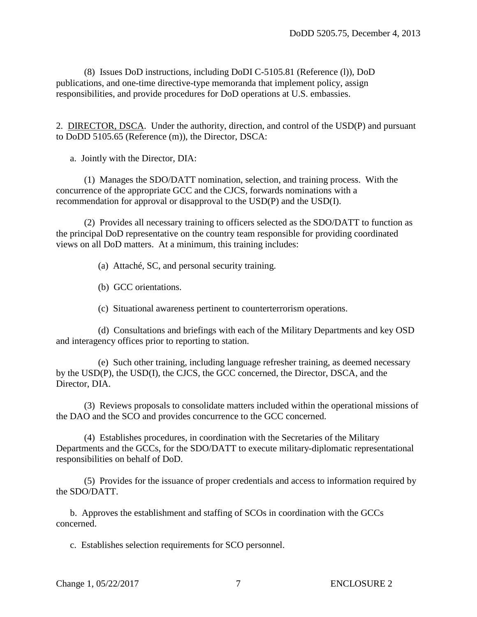(8) Issues DoD instructions, including DoDI C-5105.81 (Reference (l)), DoD publications, and one-time directive-type memoranda that implement policy, assign responsibilities, and provide procedures for DoD operations at U.S. embassies.

2. DIRECTOR, DSCA. Under the authority, direction, and control of the USD(P) and pursuant to DoDD 5105.65 (Reference (m)), the Director, DSCA:

a. Jointly with the Director, DIA:

(1) Manages the SDO/DATT nomination, selection, and training process. With the concurrence of the appropriate GCC and the CJCS, forwards nominations with a recommendation for approval or disapproval to the USD(P) and the USD(I).

(2) Provides all necessary training to officers selected as the SDO/DATT to function as the principal DoD representative on the country team responsible for providing coordinated views on all DoD matters. At a minimum, this training includes:

(a) Attaché, SC, and personal security training.

(b) GCC orientations.

(c) Situational awareness pertinent to counterterrorism operations.

(d) Consultations and briefings with each of the Military Departments and key OSD and interagency offices prior to reporting to station.

(e) Such other training, including language refresher training, as deemed necessary by the USD(P), the USD(I), the CJCS, the GCC concerned, the Director, DSCA, and the Director, DIA.

(3) Reviews proposals to consolidate matters included within the operational missions of the DAO and the SCO and provides concurrence to the GCC concerned.

(4) Establishes procedures, in coordination with the Secretaries of the Military Departments and the GCCs, for the SDO/DATT to execute military-diplomatic representational responsibilities on behalf of DoD.

(5) Provides for the issuance of proper credentials and access to information required by the SDO/DATT.

b. Approves the establishment and staffing of SCOs in coordination with the GCCs concerned.

c. Establishes selection requirements for SCO personnel.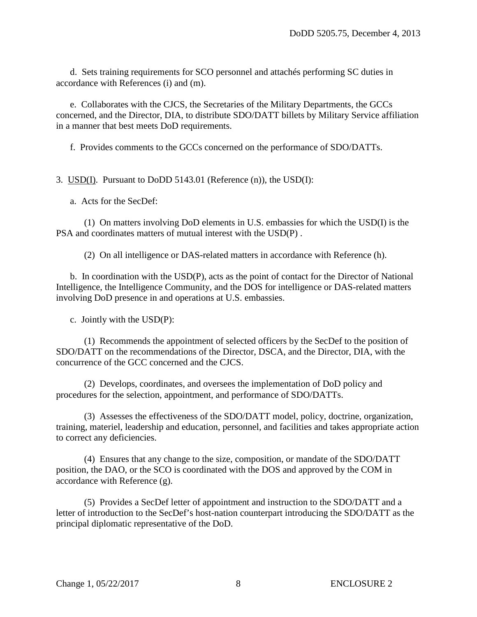d. Sets training requirements for SCO personnel and attachés performing SC duties in accordance with References (i) and (m).

 e. Collaborates with the CJCS, the Secretaries of the Military Departments, the GCCs concerned, and the Director, DIA, to distribute SDO/DATT billets by Military Service affiliation in a manner that best meets DoD requirements.

f. Provides comments to the GCCs concerned on the performance of SDO/DATTs.

3. USD(I). Pursuant to DoDD 5143.01 (Reference (n)), the USD(I):

a. Acts for the SecDef:

(1) On matters involving DoD elements in U.S. embassies for which the USD(I) is the PSA and coordinates matters of mutual interest with the USD(P) .

(2) On all intelligence or DAS-related matters in accordance with Reference (h).

 b. In coordination with the USD(P), acts as the point of contact for the Director of National Intelligence, the Intelligence Community, and the DOS for intelligence or DAS-related matters involving DoD presence in and operations at U.S. embassies.

c. Jointly with the USD(P):

 (1) Recommends the appointment of selected officers by the SecDef to the position of SDO/DATT on the recommendations of the Director, DSCA, and the Director, DIA, with the concurrence of the GCC concerned and the CJCS.

 (2) Develops, coordinates, and oversees the implementation of DoD policy and procedures for the selection, appointment, and performance of SDO/DATTs.

 (3) Assesses the effectiveness of the SDO/DATT model, policy, doctrine, organization, training, materiel, leadership and education, personnel, and facilities and takes appropriate action to correct any deficiencies.

 (4) Ensures that any change to the size, composition, or mandate of the SDO/DATT position, the DAO, or the SCO is coordinated with the DOS and approved by the COM in accordance with Reference (g).

 (5) Provides a SecDef letter of appointment and instruction to the SDO/DATT and a letter of introduction to the SecDef's host-nation counterpart introducing the SDO/DATT as the principal diplomatic representative of the DoD.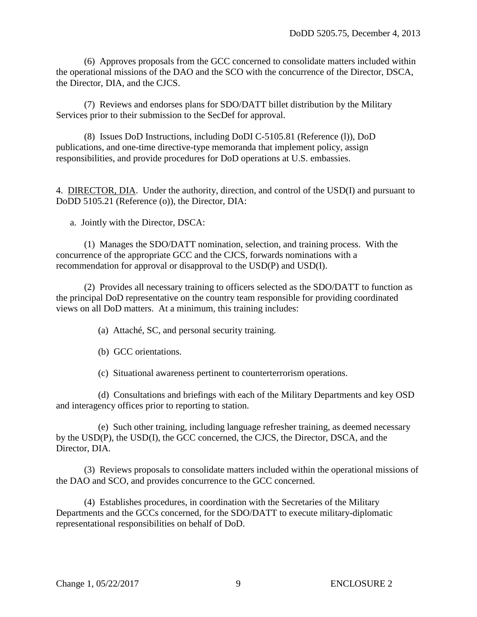(6) Approves proposals from the GCC concerned to consolidate matters included within the operational missions of the DAO and the SCO with the concurrence of the Director, DSCA, the Director, DIA, and the CJCS.

 (7) Reviews and endorses plans for SDO/DATT billet distribution by the Military Services prior to their submission to the SecDef for approval.

(8) Issues DoD Instructions, including DoDI C-5105.81 (Reference (l)), DoD publications, and one-time directive-type memoranda that implement policy, assign responsibilities, and provide procedures for DoD operations at U.S. embassies.

4. DIRECTOR, DIA. Under the authority, direction, and control of the USD(I) and pursuant to DoDD 5105.21 (Reference (o)), the Director, DIA:

a. Jointly with the Director, DSCA:

(1) Manages the SDO/DATT nomination, selection, and training process. With the concurrence of the appropriate GCC and the CJCS, forwards nominations with a recommendation for approval or disapproval to the USD(P) and USD(I).

(2) Provides all necessary training to officers selected as the SDO/DATT to function as the principal DoD representative on the country team responsible for providing coordinated views on all DoD matters. At a minimum, this training includes:

(a) Attaché, SC, and personal security training.

(b) GCC orientations.

(c) Situational awareness pertinent to counterterrorism operations.

(d) Consultations and briefings with each of the Military Departments and key OSD and interagency offices prior to reporting to station.

(e) Such other training, including language refresher training, as deemed necessary by the USD(P), the USD(I), the GCC concerned, the CJCS, the Director, DSCA, and the Director, DIA.

(3) Reviews proposals to consolidate matters included within the operational missions of the DAO and SCO, and provides concurrence to the GCC concerned.

(4) Establishes procedures, in coordination with the Secretaries of the Military Departments and the GCCs concerned, for the SDO/DATT to execute military-diplomatic representational responsibilities on behalf of DoD.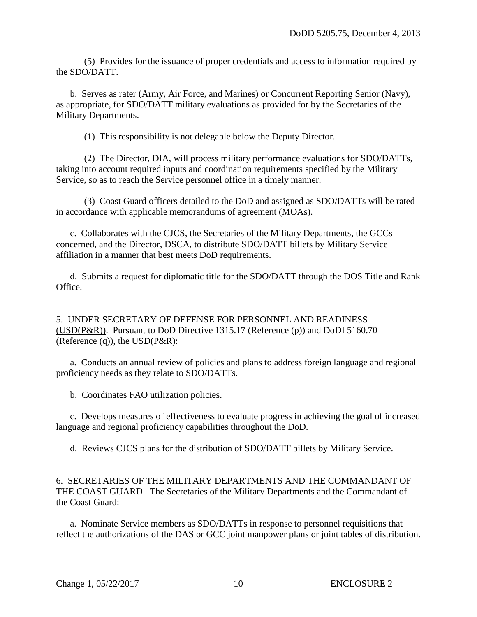(5) Provides for the issuance of proper credentials and access to information required by the SDO/DATT.

 b. Serves as rater (Army, Air Force, and Marines) or Concurrent Reporting Senior (Navy), as appropriate, for SDO/DATT military evaluations as provided for by the Secretaries of the Military Departments.

(1) This responsibility is not delegable below the Deputy Director.

 (2) The Director, DIA, will process military performance evaluations for SDO/DATTs, taking into account required inputs and coordination requirements specified by the Military Service, so as to reach the Service personnel office in a timely manner.

 (3) Coast Guard officers detailed to the DoD and assigned as SDO/DATTs will be rated in accordance with applicable memorandums of agreement (MOAs).

c. Collaborates with the CJCS, the Secretaries of the Military Departments, the GCCs concerned, and the Director, DSCA, to distribute SDO/DATT billets by Military Service affiliation in a manner that best meets DoD requirements.

d. Submits a request for diplomatic title for the SDO/DATT through the DOS Title and Rank Office.

5. UNDER SECRETARY OF DEFENSE FOR PERSONNEL AND READINESS (USD(P&R)). Pursuant to DoD Directive 1315.17 (Reference (p)) and DoDI 5160.70 (Reference (q)), the  $USD(P\&R)$ :

 a. Conducts an annual review of policies and plans to address foreign language and regional proficiency needs as they relate to SDO/DATTs.

b. Coordinates FAO utilization policies.

c. Develops measures of effectiveness to evaluate progress in achieving the goal of increased language and regional proficiency capabilities throughout the DoD.

d. Reviews CJCS plans for the distribution of SDO/DATT billets by Military Service.

#### 6. SECRETARIES OF THE MILITARY DEPARTMENTS AND THE COMMANDANT OF THE COAST GUARD. The Secretaries of the Military Departments and the Commandant of the Coast Guard:

a. Nominate Service members as SDO/DATTs in response to personnel requisitions that reflect the authorizations of the DAS or GCC joint manpower plans or joint tables of distribution.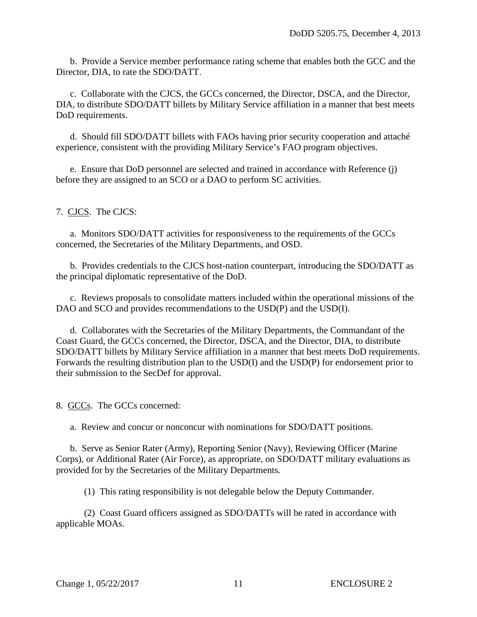b. Provide a Service member performance rating scheme that enables both the GCC and the Director, DIA, to rate the SDO/DATT.

c. Collaborate with the CJCS, the GCCs concerned, the Director, DSCA, and the Director, DIA, to distribute SDO/DATT billets by Military Service affiliation in a manner that best meets DoD requirements.

d. Should fill SDO/DATT billets with FAOs having prior security cooperation and attaché experience, consistent with the providing Military Service's FAO program objectives.

e. Ensure that DoD personnel are selected and trained in accordance with Reference (j) before they are assigned to an SCO or a DAO to perform SC activities.

7. CJCS. The CJCS:

a. Monitors SDO/DATT activities for responsiveness to the requirements of the GCCs concerned, the Secretaries of the Military Departments, and OSD.

 b. Provides credentials to the CJCS host-nation counterpart, introducing the SDO/DATT as the principal diplomatic representative of the DoD.

c. Reviews proposals to consolidate matters included within the operational missions of the DAO and SCO and provides recommendations to the USD(P) and the USD(I).

 d. Collaborates with the Secretaries of the Military Departments, the Commandant of the Coast Guard, the GCCs concerned, the Director, DSCA, and the Director, DIA, to distribute SDO/DATT billets by Military Service affiliation in a manner that best meets DoD requirements. Forwards the resulting distribution plan to the USD(I) and the USD(P) for endorsement prior to their submission to the SecDef for approval.

8. GCCs. The GCCs concerned:

a. Review and concur or nonconcur with nominations for SDO/DATT positions.

b. Serve as Senior Rater (Army), Reporting Senior (Navy), Reviewing Officer (Marine Corps), or Additional Rater (Air Force), as appropriate, on SDO/DATT military evaluations as provided for by the Secretaries of the Military Departments.

(1) This rating responsibility is not delegable below the Deputy Commander.

(2) Coast Guard officers assigned as SDO/DATTs will be rated in accordance with applicable MOAs.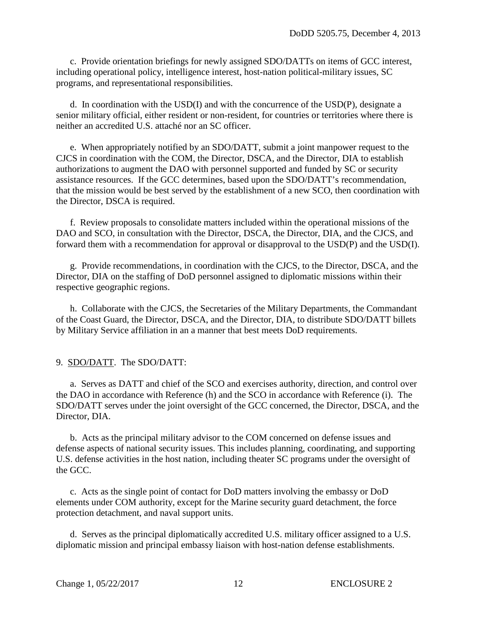c. Provide orientation briefings for newly assigned SDO/DATTs on items of GCC interest, including operational policy, intelligence interest, host-nation political-military issues, SC programs, and representational responsibilities.

 d. In coordination with the USD(I) and with the concurrence of the USD(P), designate a senior military official, either resident or non-resident, for countries or territories where there is neither an accredited U.S. attaché nor an SC officer.

e. When appropriately notified by an SDO/DATT, submit a joint manpower request to the CJCS in coordination with the COM, the Director, DSCA, and the Director, DIA to establish authorizations to augment the DAO with personnel supported and funded by SC or security assistance resources. If the GCC determines, based upon the SDO/DATT's recommendation, that the mission would be best served by the establishment of a new SCO, then coordination with the Director, DSCA is required.

f. Review proposals to consolidate matters included within the operational missions of the DAO and SCO, in consultation with the Director, DSCA, the Director, DIA, and the CJCS, and forward them with a recommendation for approval or disapproval to the USD(P) and the USD(I).

g. Provide recommendations, in coordination with the CJCS, to the Director, DSCA, and the Director, DIA on the staffing of DoD personnel assigned to diplomatic missions within their respective geographic regions.

 h. Collaborate with the CJCS, the Secretaries of the Military Departments, the Commandant of the Coast Guard, the Director, DSCA, and the Director, DIA, to distribute SDO/DATT billets by Military Service affiliation in an a manner that best meets DoD requirements.

#### 9. SDO/DATT. The SDO/DATT:

 a. Serves as DATT and chief of the SCO and exercises authority, direction, and control over the DAO in accordance with Reference (h) and the SCO in accordance with Reference (i). The SDO/DATT serves under the joint oversight of the GCC concerned, the Director, DSCA, and the Director, DIA.

 b. Acts as the principal military advisor to the COM concerned on defense issues and defense aspects of national security issues. This includes planning, coordinating, and supporting U.S. defense activities in the host nation, including theater SC programs under the oversight of the GCC.

c. Acts as the single point of contact for DoD matters involving the embassy or DoD elements under COM authority, except for the Marine security guard detachment, the force protection detachment, and naval support units.

 d. Serves as the principal diplomatically accredited U.S. military officer assigned to a U.S. diplomatic mission and principal embassy liaison with host-nation defense establishments.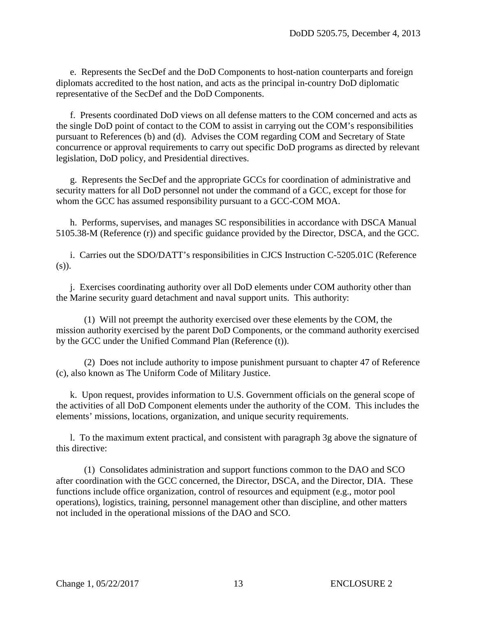e. Represents the SecDef and the DoD Components to host-nation counterparts and foreign diplomats accredited to the host nation, and acts as the principal in-country DoD diplomatic representative of the SecDef and the DoD Components.

 f. Presents coordinated DoD views on all defense matters to the COM concerned and acts as the single DoD point of contact to the COM to assist in carrying out the COM's responsibilities pursuant to References (b) and (d). Advises the COM regarding COM and Secretary of State concurrence or approval requirements to carry out specific DoD programs as directed by relevant legislation, DoD policy, and Presidential directives.

 g. Represents the SecDef and the appropriate GCCs for coordination of administrative and security matters for all DoD personnel not under the command of a GCC, except for those for whom the GCC has assumed responsibility pursuant to a GCC-COM MOA.

 h. Performs, supervises, and manages SC responsibilities in accordance with DSCA Manual 5105.38-M (Reference (r)) and specific guidance provided by the Director, DSCA, and the GCC.

 i. Carries out the SDO/DATT's responsibilities in CJCS Instruction C-5205.01C (Reference (s)).

 j. Exercises coordinating authority over all DoD elements under COM authority other than the Marine security guard detachment and naval support units. This authority:

(1) Will not preempt the authority exercised over these elements by the COM, the mission authority exercised by the parent DoD Components, or the command authority exercised by the GCC under the Unified Command Plan (Reference (t)).

(2) Does not include authority to impose punishment pursuant to chapter 47 of Reference (c), also known as The Uniform Code of Military Justice.

 k. Upon request, provides information to U.S. Government officials on the general scope of the activities of all DoD Component elements under the authority of the COM. This includes the elements' missions, locations, organization, and unique security requirements.

 l. To the maximum extent practical, and consistent with paragraph 3g above the signature of this directive:

 (1) Consolidates administration and support functions common to the DAO and SCO after coordination with the GCC concerned, the Director, DSCA, and the Director, DIA. These functions include office organization, control of resources and equipment (e.g., motor pool operations), logistics, training, personnel management other than discipline, and other matters not included in the operational missions of the DAO and SCO.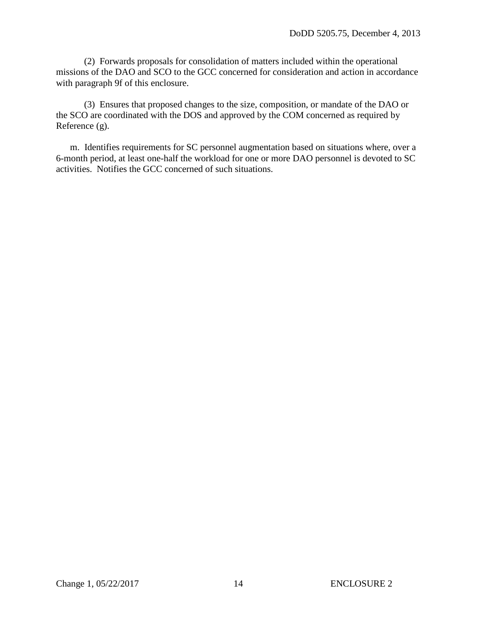(2) Forwards proposals for consolidation of matters included within the operational missions of the DAO and SCO to the GCC concerned for consideration and action in accordance with paragraph 9f of this enclosure.

 (3) Ensures that proposed changes to the size, composition, or mandate of the DAO or the SCO are coordinated with the DOS and approved by the COM concerned as required by Reference (g).

 m. Identifies requirements for SC personnel augmentation based on situations where, over a 6-month period, at least one-half the workload for one or more DAO personnel is devoted to SC activities. Notifies the GCC concerned of such situations.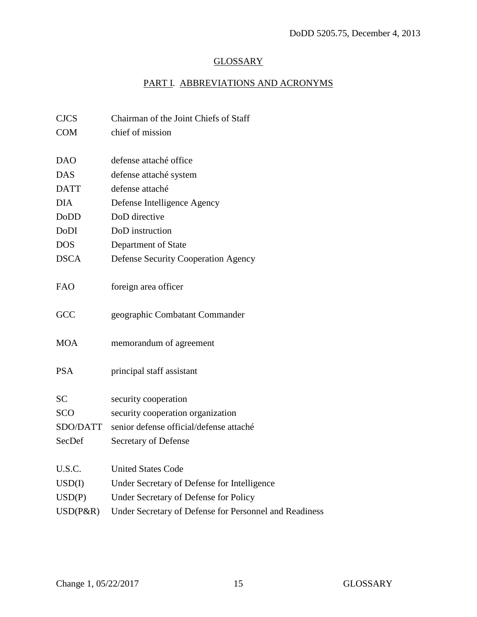# **GLOSSARY**

# PART I. ABBREVIATIONS AND ACRONYMS

| <b>CJCS</b> | Chairman of the Joint Chiefs of Staff                  |
|-------------|--------------------------------------------------------|
| <b>COM</b>  | chief of mission                                       |
|             |                                                        |
| <b>DAO</b>  | defense attaché office                                 |
| <b>DAS</b>  | defense attaché system                                 |
| <b>DATT</b> | defense attaché                                        |
| <b>DIA</b>  | Defense Intelligence Agency                            |
| <b>DoDD</b> | DoD directive                                          |
| <b>DoDI</b> | DoD instruction                                        |
| <b>DOS</b>  | Department of State                                    |
| <b>DSCA</b> | <b>Defense Security Cooperation Agency</b>             |
|             |                                                        |
| <b>FAO</b>  | foreign area officer                                   |
|             |                                                        |
| GCC         | geographic Combatant Commander                         |
|             |                                                        |
| <b>MOA</b>  | memorandum of agreement                                |
|             |                                                        |
| <b>PSA</b>  | principal staff assistant                              |
|             |                                                        |
| <b>SC</b>   | security cooperation                                   |
| SCO         | security cooperation organization                      |
| SDO/DATT    | senior defense official/defense attaché                |
| SecDef      | Secretary of Defense                                   |
|             |                                                        |
| U.S.C.      | <b>United States Code</b>                              |
| USD(I)      | Under Secretary of Defense for Intelligence            |
| USD(P)      | Under Secretary of Defense for Policy                  |
| USD(P&R)    | Under Secretary of Defense for Personnel and Readiness |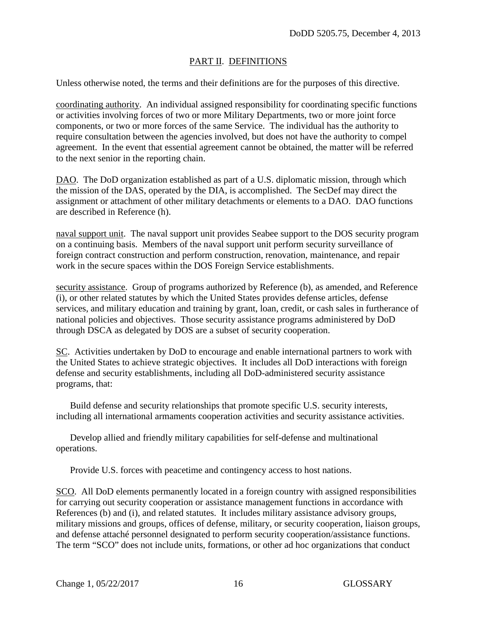## PART II. DEFINITIONS

Unless otherwise noted, the terms and their definitions are for the purposes of this directive.

coordinating authority. An individual assigned responsibility for coordinating specific functions or activities involving forces of two or more Military Departments, two or more joint force components, or two or more forces of the same Service. The individual has the authority to require consultation between the agencies involved, but does not have the authority to compel agreement. In the event that essential agreement cannot be obtained, the matter will be referred to the next senior in the reporting chain.

DAO. The DoD organization established as part of a U.S. diplomatic mission, through which the mission of the DAS, operated by the DIA, is accomplished. The SecDef may direct the assignment or attachment of other military detachments or elements to a DAO. DAO functions are described in Reference (h).

naval support unit. The naval support unit provides Seabee support to the DOS security program on a continuing basis. Members of the naval support unit perform security surveillance of foreign contract construction and perform construction, renovation, maintenance, and repair work in the secure spaces within the DOS Foreign Service establishments.

security assistance. Group of programs authorized by Reference (b), as amended, and Reference (i), or other related statutes by which the United States provides defense articles, defense services, and military education and training by grant, loan, credit, or cash sales in furtherance of national policies and objectives. Those security assistance programs administered by DoD through DSCA as delegated by DOS are a subset of security cooperation.

SC. Activities undertaken by DoD to encourage and enable international partners to work with the United States to achieve strategic objectives. It includes all DoD interactions with foreign defense and security establishments, including all DoD-administered security assistance programs, that:

Build defense and security relationships that promote specific U.S. security interests, including all international armaments cooperation activities and security assistance activities.

Develop allied and friendly military capabilities for self-defense and multinational operations.

Provide U.S. forces with peacetime and contingency access to host nations.

SCO. All DoD elements permanently located in a foreign country with assigned responsibilities for carrying out security cooperation or assistance management functions in accordance with References (b) and (i), and related statutes. It includes military assistance advisory groups, military missions and groups, offices of defense, military, or security cooperation, liaison groups, and defense attaché personnel designated to perform security cooperation/assistance functions. The term "SCO" does not include units, formations, or other ad hoc organizations that conduct